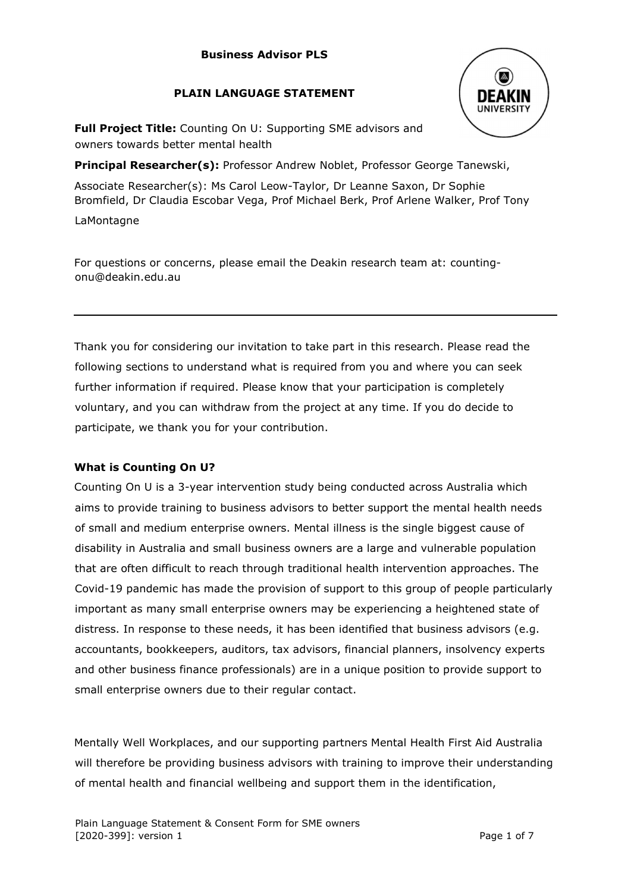# **PLAIN LANGUAGE STATEMENT**



**Full Project Title:** Counting On U: Supporting SME advisors and owners towards better mental health

**Principal Researcher(s):** Professor Andrew Noblet, Professor George Tanewski, Associate Researcher(s): Ms Carol Leow-Taylor, Dr Leanne Saxon, Dr Sophie

Bromfield, Dr Claudia Escobar Vega, Prof Michael Berk, Prof Arlene Walker, Prof Tony

LaMontagne

For questions or concerns, please email the Deakin research team at: countingonu@deakin.edu.au

Thank you for considering our invitation to take part in this research. Please read the following sections to understand what is required from you and where you can seek further information if required. Please know that your participation is completely voluntary, and you can withdraw from the project at any time. If you do decide to participate, we thank you for your contribution.

# **What is Counting On U?**

Counting On U is a 3-year intervention study being conducted across Australia which aims to provide training to business advisors to better support the mental health needs of small and medium enterprise owners. Mental illness is the single biggest cause of disability in Australia and small business owners are a large and vulnerable population that are often difficult to reach through traditional health intervention approaches. The Covid-19 pandemic has made the provision of support to this group of people particularly important as many small enterprise owners may be experiencing a heightened state of distress. In response to these needs, it has been identified that business advisors (e.g. accountants, bookkeepers, auditors, tax advisors, financial planners, insolvency experts and other business finance professionals) are in a unique position to provide support to small enterprise owners due to their regular contact.

Mentally Well Workplaces, and our supporting partners Mental Health First Aid Australia will therefore be providing business advisors with training to improve their understanding of mental health and financial wellbeing and support them in the identification,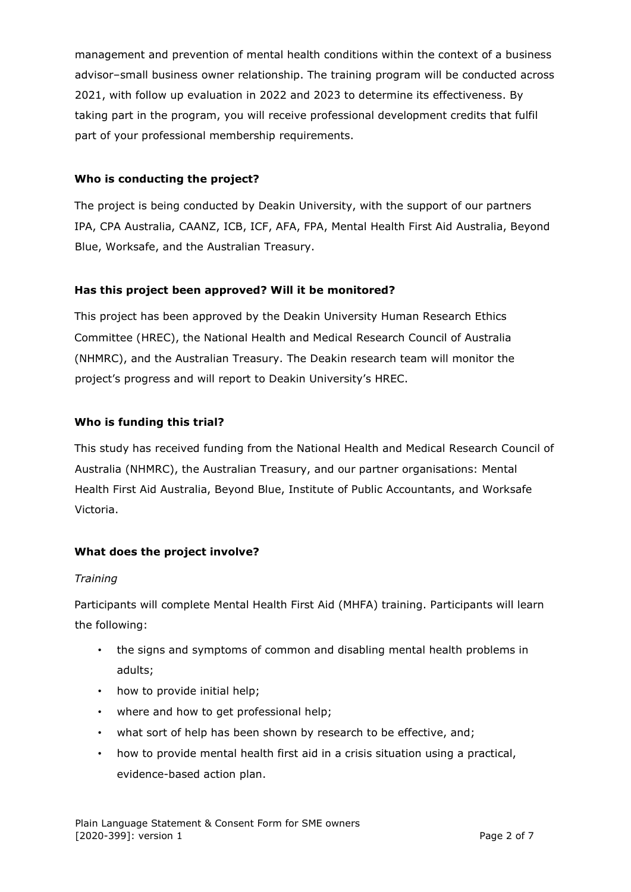management and prevention of mental health conditions within the context of a business advisor–small business owner relationship. The training program will be conducted across 2021, with follow up evaluation in 2022 and 2023 to determine its effectiveness. By taking part in the program, you will receive professional development credits that fulfil part of your professional membership requirements.

# **Who is conducting the project?**

The project is being conducted by Deakin University, with the support of our partners IPA, CPA Australia, CAANZ, ICB, ICF, AFA, FPA, Mental Health First Aid Australia, Beyond Blue, Worksafe, and the Australian Treasury.

## **Has this project been approved? Will it be monitored?**

This project has been approved by the Deakin University Human Research Ethics Committee (HREC), the National Health and Medical Research Council of Australia (NHMRC), and the Australian Treasury. The Deakin research team will monitor the project's progress and will report to Deakin University's HREC.

## **Who is funding this trial?**

This study has received funding from the National Health and Medical Research Council of Australia (NHMRC), the Australian Treasury, and our partner organisations: Mental Health First Aid Australia, Beyond Blue, Institute of Public Accountants, and Worksafe Victoria.

# **What does the project involve?**

### *Training*

Participants will complete Mental Health First Aid (MHFA) training. Participants will learn the following:

- the signs and symptoms of common and disabling mental health problems in adults;
- how to provide initial help;
- where and how to get professional help;
- what sort of help has been shown by research to be effective, and;
- how to provide mental health first aid in a crisis situation using a practical, evidence-based action plan.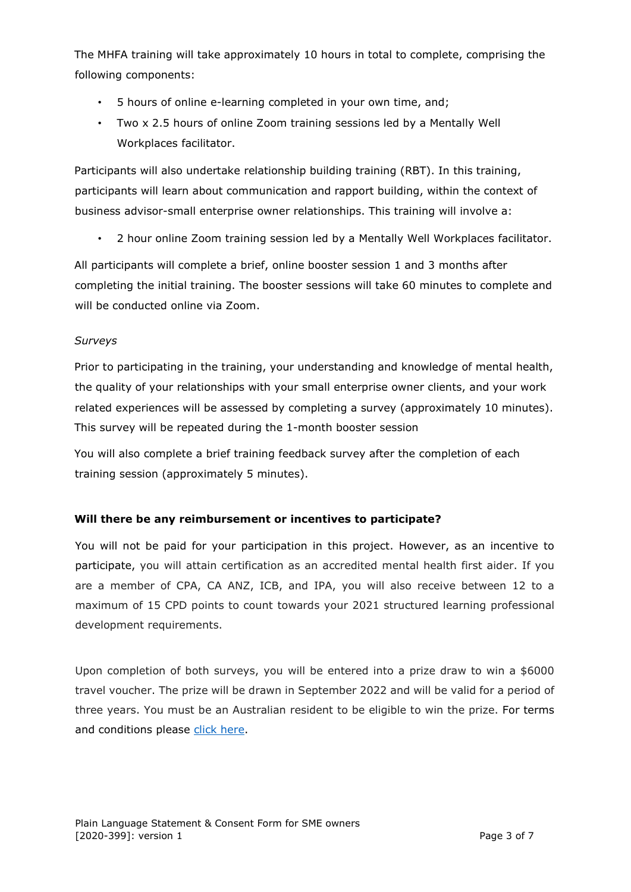The MHFA training will take approximately 10 hours in total to complete, comprising the following components:

- 5 hours of online e-learning completed in your own time, and;
- Two x 2.5 hours of online Zoom training sessions led by a Mentally Well Workplaces facilitator.

Participants will also undertake relationship building training (RBT). In this training, participants will learn about communication and rapport building, within the context of business advisor-small enterprise owner relationships. This training will involve a:

• 2 hour online Zoom training session led by a Mentally Well Workplaces facilitator.

All participants will complete a brief, online booster session 1 and 3 months after completing the initial training. The booster sessions will take 60 minutes to complete and will be conducted online via Zoom.

# *Surveys*

Prior to participating in the training, your understanding and knowledge of mental health, the quality of your relationships with your small enterprise owner clients, and your work related experiences will be assessed by completing a survey (approximately 10 minutes). This survey will be repeated during the 1-month booster session

You will also complete a brief training feedback survey after the completion of each training session (approximately 5 minutes).

# **Will there be any reimbursement or incentives to participate?**

You will not be paid for your participation in this project. However, as an incentive to participate, you will attain certification as an accredited mental health first aider. If you are a member of CPA, CA ANZ, ICB, and IPA, you will also receive between 12 to a maximum of 15 CPD points to count towards your 2021 structured learning professional development requirements.

Upon completion of both surveys, you will be entered into a prize draw to win a \$6000 travel voucher. The prize will be drawn in September 2022 and will be valid for a period of three years. You must be an Australian resident to be eligible to win the prize. For terms and conditions please [click here.](https://blogs.deakin.edu.au/counting-on-u/wp-content/uploads/sites/392/2021/08/Competition-Terms-and-Conditions_CoUCompetition.pdf)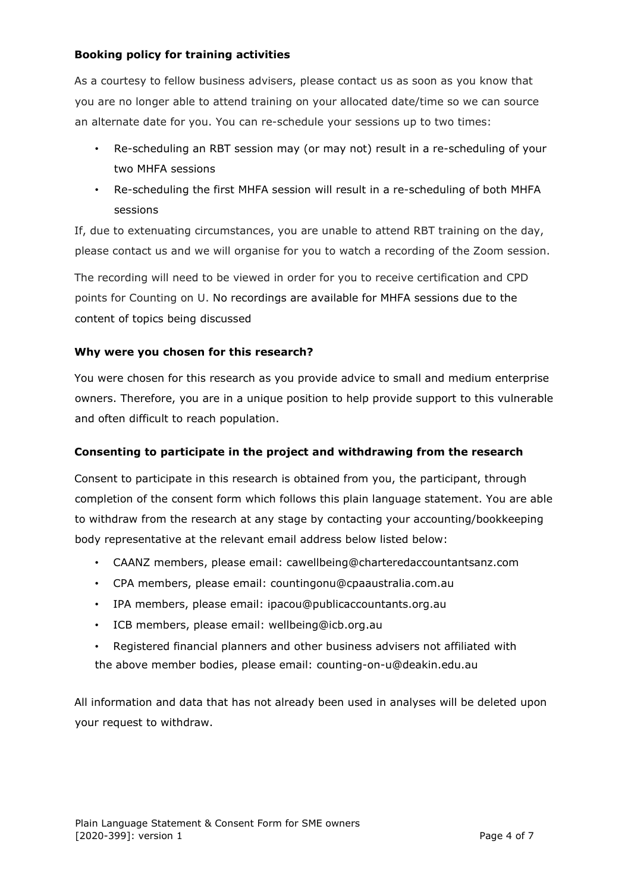## **Booking policy for training activities**

As a courtesy to fellow business advisers, please contact us as soon as you know that you are no longer able to attend training on your allocated date/time so we can source an alternate date for you. You can re-schedule your sessions up to two times:

- Re-scheduling an RBT session may (or may not) result in a re-scheduling of your two MHFA sessions
- Re-scheduling the first MHFA session will result in a re-scheduling of both MHFA sessions

If, due to extenuating circumstances, you are unable to attend RBT training on the day, please contact us and we will organise for you to watch a recording of the Zoom session.

The recording will need to be viewed in order for you to receive certification and CPD points for Counting on U. No recordings are available for MHFA sessions due to the content of topics being discussed

## **Why were you chosen for this research?**

You were chosen for this research as you provide advice to small and medium enterprise owners. Therefore, you are in a unique position to help provide support to this vulnerable and often difficult to reach population.

## **Consenting to participate in the project and withdrawing from the research**

Consent to participate in this research is obtained from you, the participant, through completion of the consent form which follows this plain language statement. You are able to withdraw from the research at any stage by contacting your accounting/bookkeeping body representative at the relevant email address below listed below:

- CAANZ members, please email: cawellbeing@charteredaccountantsanz.com
- CPA members, please email: countingonu@cpaaustralia.com.au
- IPA members, please email: ipacou@publicaccountants.org.au
- ICB members, please email: wellbeing@icb.org.au
- Registered financial planners and other business advisers not affiliated with the above member bodies, please email: counting-on-u@deakin.edu.au

All information and data that has not already been used in analyses will be deleted upon your request to withdraw.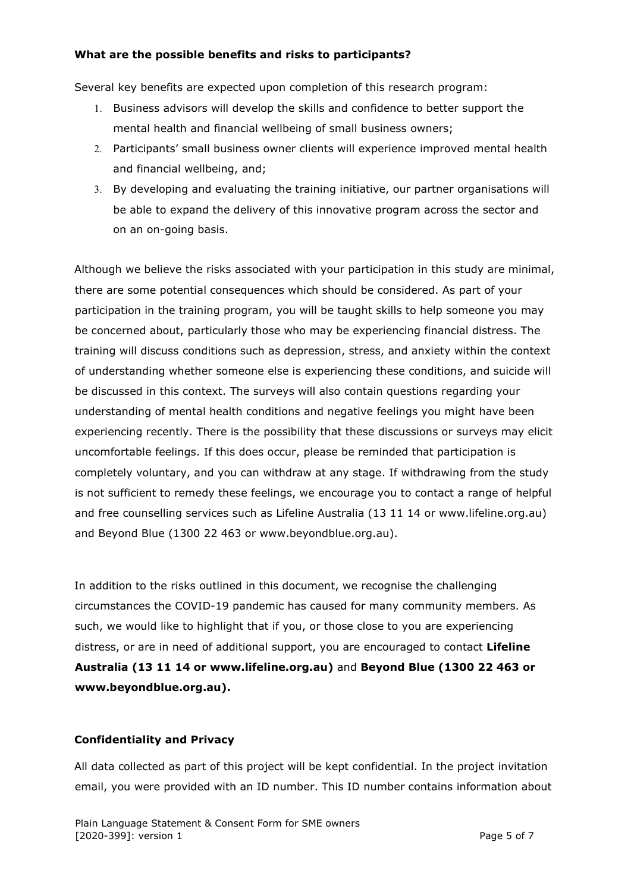#### **What are the possible benefits and risks to participants?**

Several key benefits are expected upon completion of this research program:

- 1. Business advisors will develop the skills and confidence to better support the mental health and financial wellbeing of small business owners;
- 2. Participants' small business owner clients will experience improved mental health and financial wellbeing, and;
- 3. By developing and evaluating the training initiative, our partner organisations will be able to expand the delivery of this innovative program across the sector and on an on-going basis.

Although we believe the risks associated with your participation in this study are minimal, there are some potential consequences which should be considered. As part of your participation in the training program, you will be taught skills to help someone you may be concerned about, particularly those who may be experiencing financial distress. The training will discuss conditions such as depression, stress, and anxiety within the context of understanding whether someone else is experiencing these conditions, and suicide will be discussed in this context. The surveys will also contain questions regarding your understanding of mental health conditions and negative feelings you might have been experiencing recently. There is the possibility that these discussions or surveys may elicit uncomfortable feelings. If this does occur, please be reminded that participation is completely voluntary, and you can withdraw at any stage. If withdrawing from the study is not sufficient to remedy these feelings, we encourage you to contact a range of helpful and free counselling services such as Lifeline Australia (13 11 14 or www.lifeline.org.au) and Beyond Blue (1300 22 463 or www.beyondblue.org.au).

In addition to the risks outlined in this document, we recognise the challenging circumstances the COVID-19 pandemic has caused for many community members. As such, we would like to highlight that if you, or those close to you are experiencing distress, or are in need of additional support, you are encouraged to contact **Lifeline Australia (13 11 14 or www.lifeline.org.au)** and **Beyond Blue (1300 22 463 or www.beyondblue.org.au).**

### **Confidentiality and Privacy**

All data collected as part of this project will be kept confidential. In the project invitation email, you were provided with an ID number. This ID number contains information about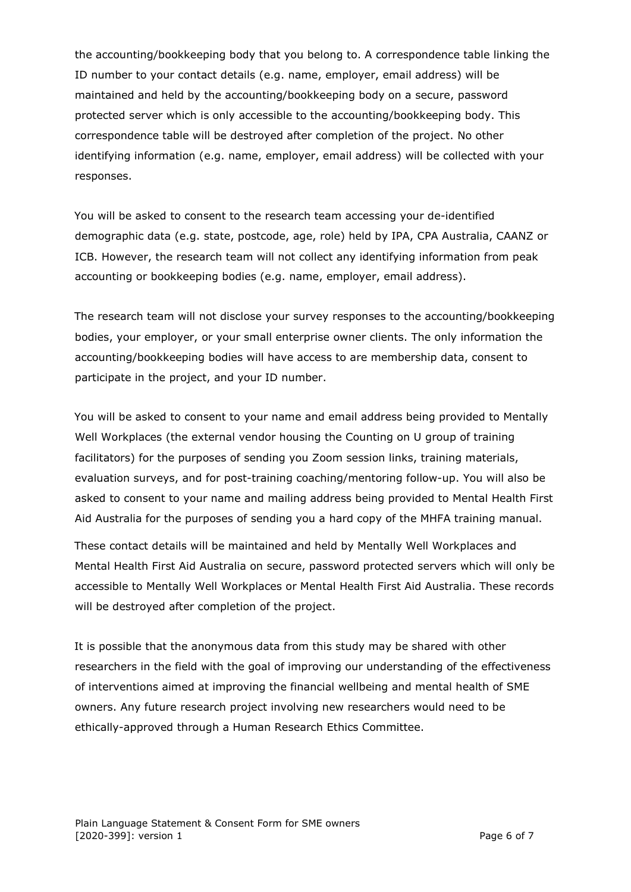the accounting/bookkeeping body that you belong to. A correspondence table linking the ID number to your contact details (e.g. name, employer, email address) will be maintained and held by the accounting/bookkeeping body on a secure, password protected server which is only accessible to the accounting/bookkeeping body. This correspondence table will be destroyed after completion of the project. No other identifying information (e.g. name, employer, email address) will be collected with your responses.

You will be asked to consent to the research team accessing your de-identified demographic data (e.g. state, postcode, age, role) held by IPA, CPA Australia, CAANZ or ICB. However, the research team will not collect any identifying information from peak accounting or bookkeeping bodies (e.g. name, employer, email address).

The research team will not disclose your survey responses to the accounting/bookkeeping bodies, your employer, or your small enterprise owner clients. The only information the accounting/bookkeeping bodies will have access to are membership data, consent to participate in the project, and your ID number.

You will be asked to consent to your name and email address being provided to Mentally Well Workplaces (the external vendor housing the Counting on U group of training facilitators) for the purposes of sending you Zoom session links, training materials, evaluation surveys, and for post-training coaching/mentoring follow-up. You will also be asked to consent to your name and mailing address being provided to Mental Health First Aid Australia for the purposes of sending you a hard copy of the MHFA training manual.

These contact details will be maintained and held by Mentally Well Workplaces and Mental Health First Aid Australia on secure, password protected servers which will only be accessible to Mentally Well Workplaces or Mental Health First Aid Australia. These records will be destroyed after completion of the project.

It is possible that the anonymous data from this study may be shared with other researchers in the field with the goal of improving our understanding of the effectiveness of interventions aimed at improving the financial wellbeing and mental health of SME owners. Any future research project involving new researchers would need to be ethically-approved through a Human Research Ethics Committee.